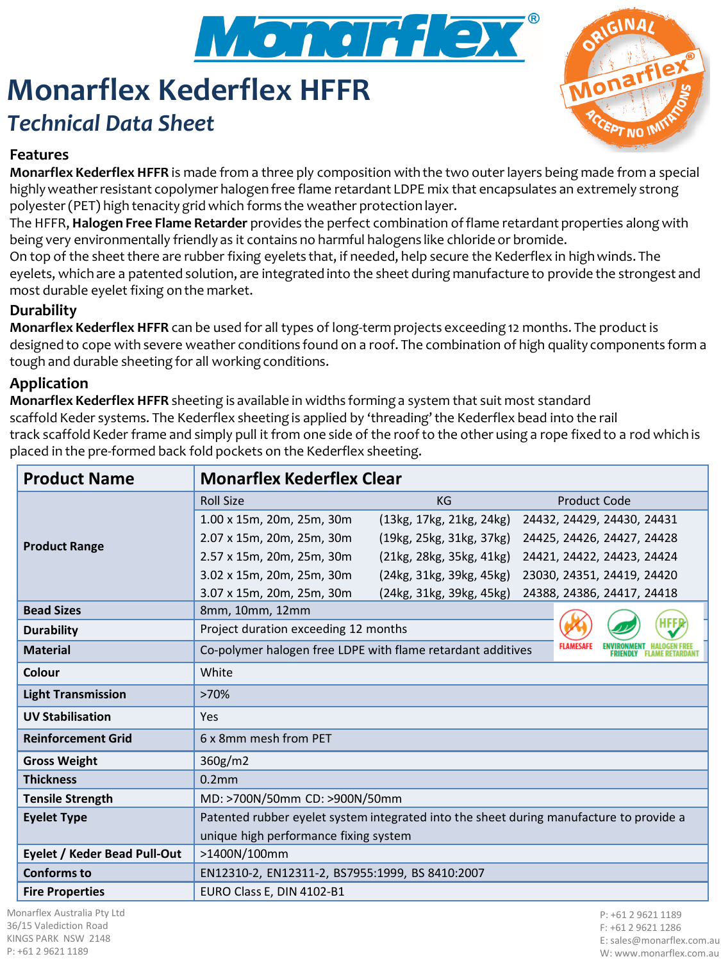

# **Monarflex Kederflex HFFR** *Technical Data Sheet*



### **Features**

**Monarflex Kederflex HFFR** is made from a three ply composition with the two outer layers being made from a special highly weather resistant copolymer halogen free flame retardant LDPE mix that encapsulates an extremely strong polyester (PET) high tenacity grid which forms the weather protection layer.

The HFFR, **Halogen Free Flame Retarder** provides the perfect combination of flame retardant properties along with being very environmentally friendly as it contains no harmful halogens like chloride or bromide.

On top of the sheet there are rubber fixing eyelets that, if needed, help secure the Kederflex in high winds. The eyelets, which are a patented solution, are integrated into the sheet during manufacture to provide the strongest and most durable eyelet fixing on the market.

### **Durability**

**Monarflex Kederflex HFFR** can be used for all types of long-term projects exceeding 12 months. The product is designed to cope with severe weather conditions found on a roof. The combination of high quality components form a tough and durable sheeting for all working conditions.

#### **Application**

**Monarflex Kederflex HFFR** sheeting is available in widths forming a system that suit most standard scaffold Keder systems. The Kederflex sheeting is applied by 'threading' the Kederflex bead into the rail track scaffold Keder frame and simply pull it from one side of the roof to the other using a rope fixed to a rod which is placed in the pre-formed back fold pockets on the Kederflex sheeting.

| <b>Product Name</b>          | <b>Monarflex Kederflex Clear</b>                                                        |                          |  |                            |  |  |
|------------------------------|-----------------------------------------------------------------------------------------|--------------------------|--|----------------------------|--|--|
| <b>Product Range</b>         | <b>Roll Size</b>                                                                        | KG                       |  | <b>Product Code</b>        |  |  |
|                              | 1.00 x 15m, 20m, 25m, 30m                                                               | (13kg, 17kg, 21kg, 24kg) |  | 24432, 24429, 24430, 24431 |  |  |
|                              | 2.07 x 15m, 20m, 25m, 30m                                                               | (19kg, 25kg, 31kg, 37kg) |  | 24425, 24426, 24427, 24428 |  |  |
|                              | 2.57 x 15m, 20m, 25m, 30m                                                               | (21kg, 28kg, 35kg, 41kg) |  | 24421, 24422, 24423, 24424 |  |  |
|                              | 3.02 x 15m, 20m, 25m, 30m                                                               | (24kg, 31kg, 39kg, 45kg) |  | 23030, 24351, 24419, 24420 |  |  |
|                              | 3.07 x 15m, 20m, 25m, 30m                                                               | (24kg, 31kg, 39kg, 45kg) |  | 24388, 24386, 24417, 24418 |  |  |
| <b>Bead Sizes</b>            | 8mm, 10mm, 12mm                                                                         |                          |  |                            |  |  |
| <b>Durability</b>            | Project duration exceeding 12 months                                                    |                          |  |                            |  |  |
| <b>Material</b>              | Co-polymer halogen free LDPE with flame retardant additives                             |                          |  |                            |  |  |
| Colour                       | White                                                                                   |                          |  |                            |  |  |
| <b>Light Transmission</b>    | >70%                                                                                    |                          |  |                            |  |  |
| <b>UV Stabilisation</b>      | Yes                                                                                     |                          |  |                            |  |  |
| <b>Reinforcement Grid</b>    | 6 x 8mm mesh from PET                                                                   |                          |  |                            |  |  |
| <b>Gross Weight</b>          | 360g/m2                                                                                 |                          |  |                            |  |  |
| <b>Thickness</b>             | 0.2mm                                                                                   |                          |  |                            |  |  |
| <b>Tensile Strength</b>      | MD: >700N/50mm CD: >900N/50mm                                                           |                          |  |                            |  |  |
| <b>Eyelet Type</b>           | Patented rubber eyelet system integrated into the sheet during manufacture to provide a |                          |  |                            |  |  |
|                              | unique high performance fixing system                                                   |                          |  |                            |  |  |
| Eyelet / Keder Bead Pull-Out | >1400N/100mm                                                                            |                          |  |                            |  |  |
| Conforms to                  | EN12310-2, EN12311-2, BS7955:1999, BS 8410:2007                                         |                          |  |                            |  |  |
| <b>Fire Properties</b>       | EURO Class E, DIN 4102-B1                                                               |                          |  |                            |  |  |

Monarflex Australia Pty Ltd 36/15 Valediction Road KINGS PARK NSW 2148 P: +61 2 9621 1189

P: +61 2 9621 1189 F: +61 2 9621 1286 E: sales@monarflex.com.au W: www.monarflex.com.au